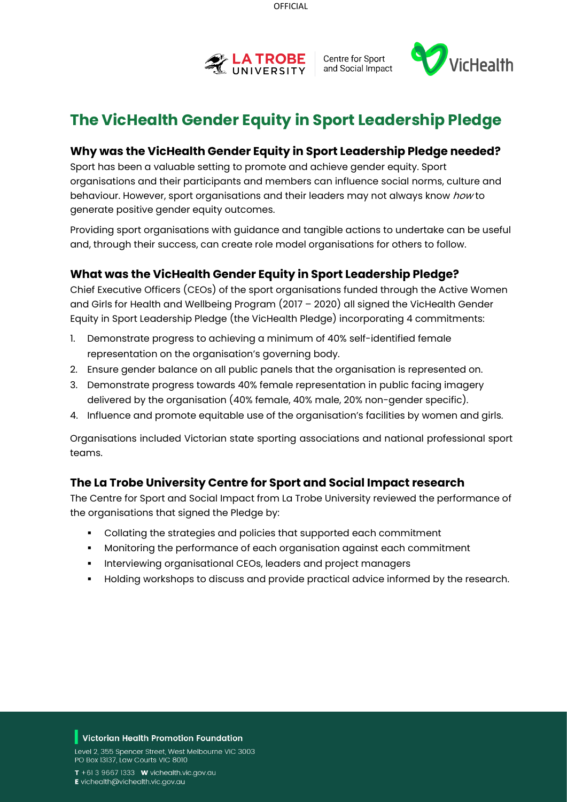



# **The VicHealth Gender Equity in Sport Leadership Pledge**

### **Why was the VicHealth Gender Equity in Sport Leadership Pledge needed?**

Sport has been a valuable setting to promote and achieve gender equity. Sport organisations and their participants and members can influence social norms, culture and behaviour. However, sport organisations and their leaders may not always know how to generate positive gender equity outcomes.

Providing sport organisations with guidance and tangible actions to undertake can be useful and, through their success, can create role model organisations for others to follow.

## **What was the VicHealth Gender Equity in Sport Leadership Pledge?**

Chief Executive Officers (CEOs) of the sport organisations funded through the Active Women and Girls for Health and Wellbeing Program (2017 – 2020) all signed the VicHealth Gender Equity in Sport Leadership Pledge (the VicHealth Pledge) incorporating 4 commitments:

- 1. Demonstrate progress to achieving a minimum of 40% self-identified female representation on the organisation's governing body.
- 2. Ensure gender balance on all public panels that the organisation is represented on.
- 3. Demonstrate progress towards 40% female representation in public facing imagery delivered by the organisation (40% female, 40% male, 20% non-gender specific).
- 4. Influence and promote equitable use of the organisation's facilities by women and girls.

Organisations included Victorian state sporting associations and national professional sport teams.

## **The La Trobe University Centre for Sport and Social Impact research**

The Centre for Sport and Social Impact from La Trobe University reviewed the performance of the organisations that signed the Pledge by:

- Collating the strategies and policies that supported each commitment
- Monitoring the performance of each organisation against each commitment
- **Interviewing organisational CEOs, leaders and project managers**
- Holding workshops to discuss and provide practical advice informed by the research.

#### Victorian Health Promotion Foundation

Level 2, 355 Spencer Street, West Melbourne VIC 3003 PO Box 13137, Law Courts VIC 8010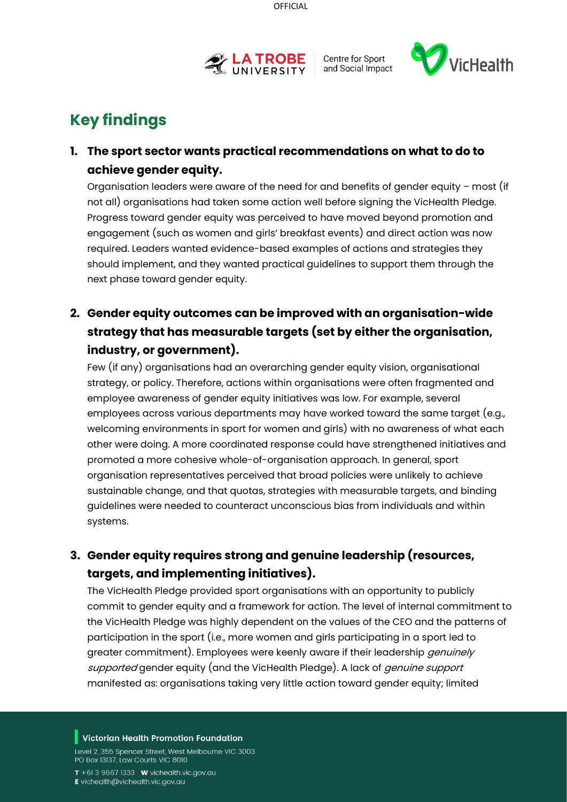



# **Key findings**

## **1. The sport sector wants practical recommendations on what to do to achieve gender equity.**

Organisation leaders were aware of the need for and benefits of gender equity – most (if not all) organisations had taken some action well before signing the VicHealth Pledge. Progress toward gender equity was perceived to have moved beyond promotion and engagement (such as women and girls' breakfast events) and direct action was now required. Leaders wanted evidence-based examples of actions and strategies they should implement, and they wanted practical guidelines to support them through the next phase toward gender equity.

## **2. Gender equity outcomes can be improved with an organisation-wide strategy that has measurable targets (set by either the organisation, industry, or government).**

Few (if any) organisations had an overarching gender equity vision, organisational strategy, or policy. Therefore, actions within organisations were often fragmented and employee awareness of gender equity initiatives was low. For example, several employees across various departments may have worked toward the same target (e.g., welcoming environments in sport for women and girls) with no awareness of what each other were doing. A more coordinated response could have strengthened initiatives and promoted a more cohesive whole-of-organisation approach. In general, sport organisation representatives perceived that broad policies were unlikely to achieve sustainable change, and that quotas, strategies with measurable targets, and binding guidelines were needed to counteract unconscious bias from individuals and within systems.

## **3. Gender equity requires strong and genuine leadership (resources, targets, and implementing initiatives).**

The VicHealth Pledge provided sport organisations with an opportunity to publicly commit to gender equity and a framework for action. The level of internal commitment to the VicHealth Pledge was highly dependent on the values of the CEO and the patterns of participation in the sport (i.e., more women and girls participating in a sport led to greater commitment). Employees were keenly aware if their leadership *genuinely* supported gender equity (and the VicHealth Pledge). A lack of *genuine support* manifested as: organisations taking very little action toward gender equity; limited

#### Victorian Health Promotion Foundation

Level 2, 355 Spencer Street, West Melbourne VIC 3003 PO Box 13137, Law Courts VIC 8010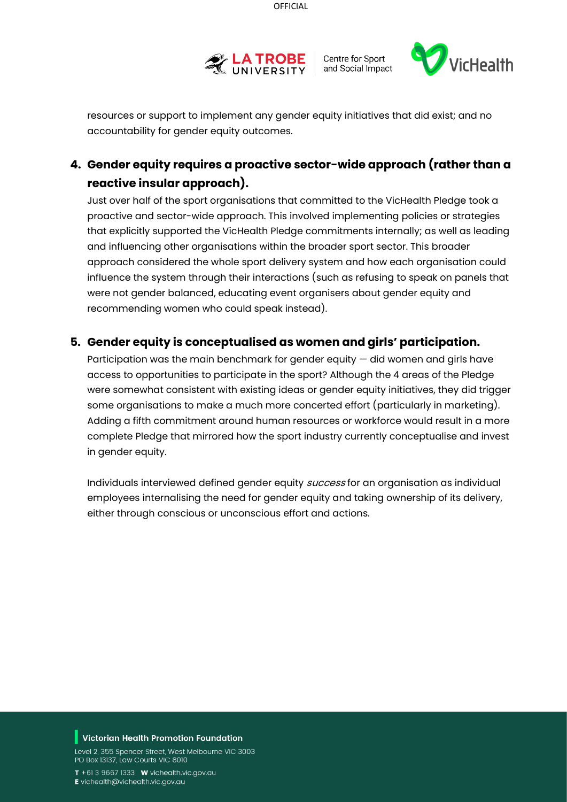



resources or support to implement any gender equity initiatives that did exist; and no accountability for gender equity outcomes.

## **4. Gender equity requires a proactive sector-wide approach (rather than a reactive insular approach).**

Just over half of the sport organisations that committed to the VicHealth Pledge took a proactive and sector-wide approach. This involved implementing policies or strategies that explicitly supported the VicHealth Pledge commitments internally; as well as leading and influencing other organisations within the broader sport sector. This broader approach considered the whole sport delivery system and how each organisation could influence the system through their interactions (such as refusing to speak on panels that were not gender balanced, educating event organisers about gender equity and recommending women who could speak instead).

## **5. Gender equity is conceptualised as women and girls' participation.**

Participation was the main benchmark for gender equity — did women and girls have access to opportunities to participate in the sport? Although the 4 areas of the Pledge were somewhat consistent with existing ideas or gender equity initiatives, they did trigger some organisations to make a much more concerted effort (particularly in marketing). Adding a fifth commitment around human resources or workforce would result in a more complete Pledge that mirrored how the sport industry currently conceptualise and invest in gender equity.

Individuals interviewed defined gender equity success for an organisation as individual employees internalising the need for gender equity and taking ownership of its delivery, either through conscious or unconscious effort and actions.

#### Victorian Health Promotion Foundation

Level 2, 355 Spencer Street, West Melbourne VIC 3003 PO Box 13137, Law Courts VIC 8010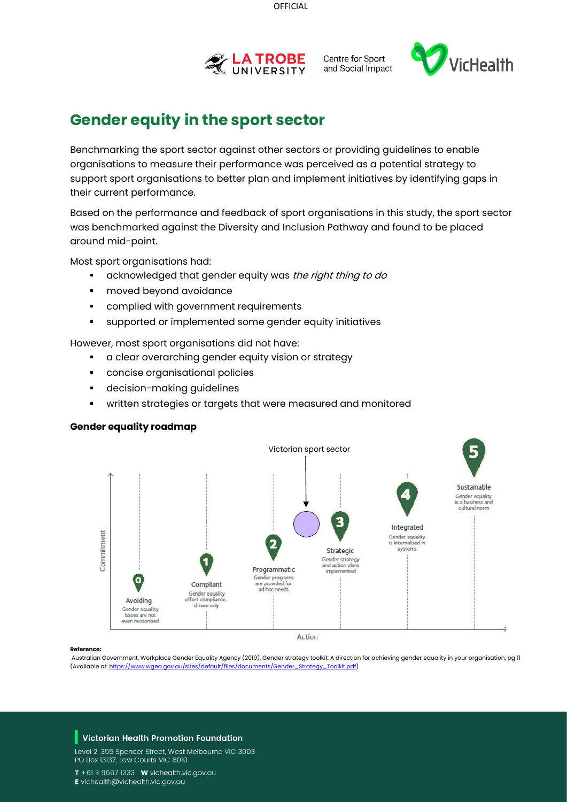

Centre for Sport and Social Impact



# **Gender equity in the sport sector**

Benchmarking the sport sector against other sectors or providing guidelines to enable organisations to measure their performance was perceived as a potential strategy to support sport organisations to better plan and implement initiatives by identifying gaps in their current performance.

Based on the performance and feedback of sport organisations in this study, the sport sector was benchmarked against the Diversity and Inclusion Pathway and found to be placed around mid-point.

Most sport organisations had:

- acknowledged that gender equity was the right thing to do
- moved beyond avoidance
- **•** complied with government requirements
- supported or implemented some gender equity initiatives

However, most sport organisations did not have:

- a clear overarching gender equity vision or strategy
- concise organisational policies
- decision-making guidelines
- written strategies or targets that were measured and monitored

#### **Gender equality roadmap**



#### **Reference:**

Australian Government, Workplace Gender Equality Agency (2019), Gender strategy toolkit: A direction for achieving gender equality in your organisation, pg 11 (Available at[: https://www.wgea.gov.au/sites/default/files/documents/Gender\\_Strategy\\_Toolkit.pdf\)](https://www.wgea.gov.au/sites/default/files/documents/Gender_Strategy_Toolkit.pdf)

#### Victorian Health Promotion Foundation

Level 2, 355 Spencer Street, West Melbourne VIC 3003 PO Box 13137, Law Courts VIC 8010

 $T + 61396671333$  W vichealth.vic.gov.au

E vichealth@vichealth.vic.gov.au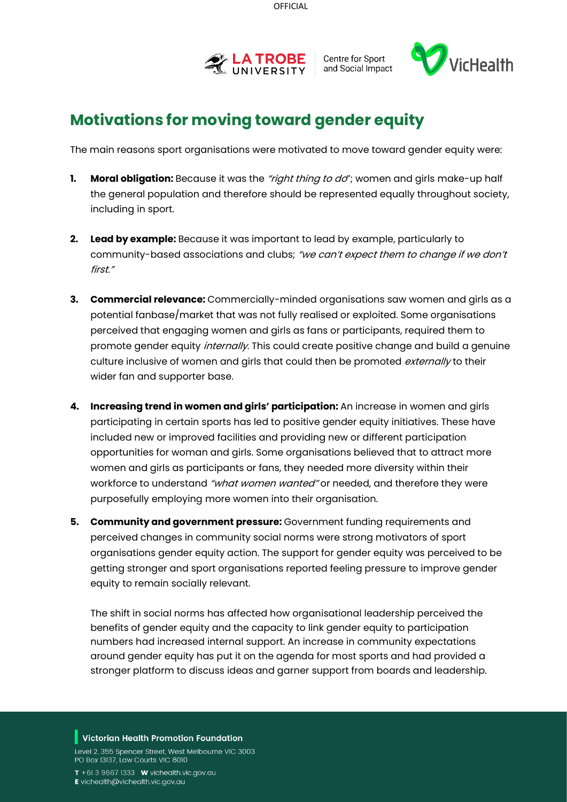



# **Motivations for moving toward gender equity**

The main reasons sport organisations were motivated to move toward gender equity were:

- **1. Moral obligation:** Because it was the *"right thing to do*"; women and girls make-up half the general population and therefore should be represented equally throughout society, including in sport.
- **2. Lead by example:** Because it was important to lead by example, particularly to community-based associations and clubs; "we can't expect them to change if we don't first."
- **3. Commercial relevance:** Commercially-minded organisations saw women and girls as a potential fanbase/market that was not fully realised or exploited. Some organisations perceived that engaging women and girls as fans or participants, required them to promote gender equity *internally*. This could create positive change and build a genuine culture inclusive of women and girls that could then be promoted  $ext{central}$  to their wider fan and supporter base.
- **4. Increasing trend in women and girls' participation:** An increase in women and girls participating in certain sports has led to positive gender equity initiatives. These have included new or improved facilities and providing new or different participation opportunities for woman and girls. Some organisations believed that to attract more women and girls as participants or fans, they needed more diversity within their workforce to understand "what women wanted" or needed, and therefore they were purposefully employing more women into their organisation.
- **5. Community and government pressure:** Government funding requirements and perceived changes in community social norms were strong motivators of sport organisations gender equity action. The support for gender equity was perceived to be getting stronger and sport organisations reported feeling pressure to improve gender equity to remain socially relevant.

The shift in social norms has affected how organisational leadership perceived the benefits of gender equity and the capacity to link gender equity to participation numbers had increased internal support. An increase in community expectations around gender equity has put it on the agenda for most sports and had provided a stronger platform to discuss ideas and garner support from boards and leadership.

#### Victorian Health Promotion Foundation

Level 2, 355 Spencer Street, West Melbourne VIC 3003 PO Box 13137, Law Courts VIC 8010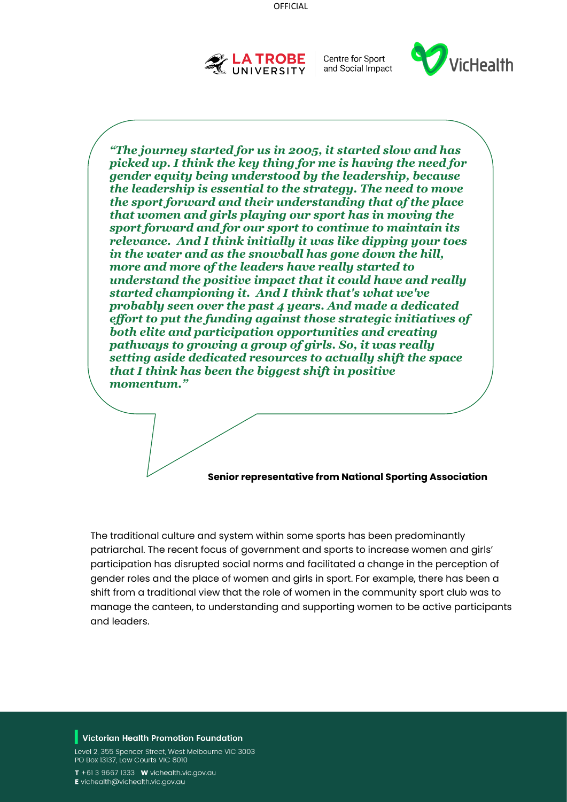

Centre for Sport and Social Impact



*"The journey started for us in 2005, it started slow and has picked up. I think the key thing for me is having the need for gender equity being understood by the leadership, because the leadership is essential to the strategy. The need to move the sport forward and their understanding that of the place that women and girls playing our sport has in moving the sport forward and for our sport to continue to maintain its relevance. And I think initially it was like dipping your toes in the water and as the snowball has gone down the hill, more and more of the leaders have really started to understand the positive impact that it could have and really started championing it. And I think that's what we've probably seen over the past 4 years. And made a dedicated effort to put the funding against those strategic initiatives of both elite and participation opportunities and creating pathways to growing a group of girls. So, it was really setting aside dedicated resources to actually shift the space that I think has been the biggest shift in positive momentum."*

#### **Senior representative from National Sporting Association**

The traditional culture and system within some sports has been predominantly patriarchal. The recent focus of government and sports to increase women and girls' participation has disrupted social norms and facilitated a change in the perception of gender roles and the place of women and girls in sport. For example, there has been a shift from a traditional view that the role of women in the community sport club was to manage the canteen, to understanding and supporting women to be active participants and leaders.

#### Victorian Health Promotion Foundation

Level 2, 355 Spencer Street, West Melbourne VIC 3003 PO Box 13137, Law Courts VIC 8010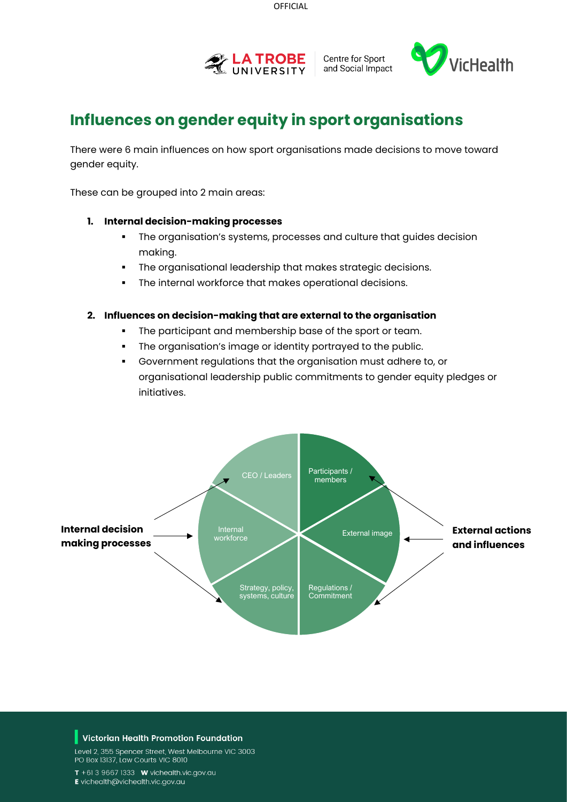

Centre for Sport and Social Impact



# **Influences on gender equity in sport organisations**

There were 6 main influences on how sport organisations made decisions to move toward gender equity.

These can be grouped into 2 main areas:

#### **1. Internal decision-making processes**

- The organisation's systems, processes and culture that guides decision making.
- The organisational leadership that makes strategic decisions.
- The internal workforce that makes operational decisions.

#### **2. Influences on decision-making that are external to the organisation**

- The participant and membership base of the sport or team.
- The organisation's image or identity portrayed to the public.
- Government regulations that the organisation must adhere to, or organisational leadership public commitments to gender equity pledges or initiatives.



#### Victorian Health Promotion Foundation

Level 2, 355 Spencer Street, West Melbourne VIC 3003 PO Box 13137, Law Courts VIC 8010

 $T + 61396671333$  **W** vichealth.vic.gov.au

E vichealth@vichealth.vic.gov.au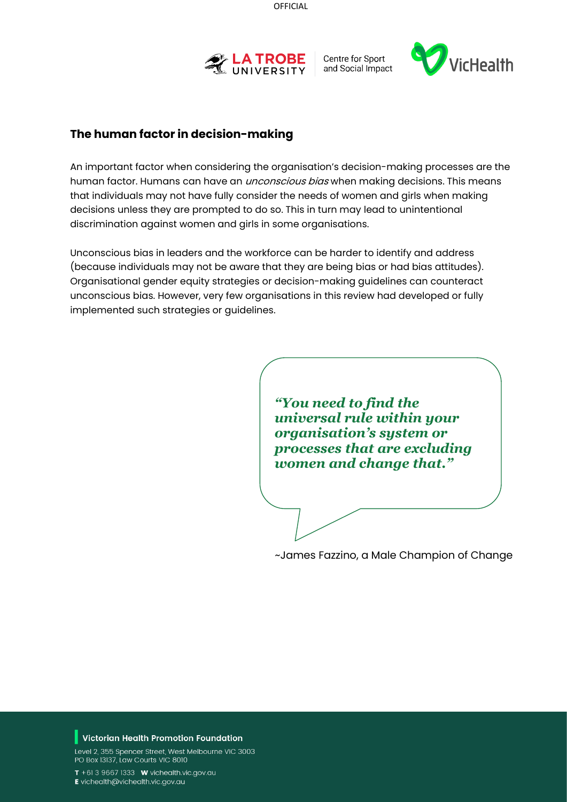

Centre for Sport and Social Impact



## **The human factor in decision-making**

An important factor when considering the organisation's decision-making processes are the human factor. Humans can have an *unconscious bias* when making decisions. This means that individuals may not have fully consider the needs of women and girls when making decisions unless they are prompted to do so. This in turn may lead to unintentional discrimination against women and girls in some organisations.

Unconscious bias in leaders and the workforce can be harder to identify and address (because individuals may not be aware that they are being bias or had bias attitudes). Organisational gender equity strategies or decision-making guidelines can counteract unconscious bias. However, very few organisations in this review had developed or fully implemented such strategies or guidelines.

> *"You need to find the universal rule within your organisation's system or processes that are excluding women and change that."*

~James Fazzino, a Male Champion of Change

#### Victorian Health Promotion Foundation

Level 2, 355 Spencer Street, West Melbourne VIC 3003 PO Box 13137, Law Courts VIC 8010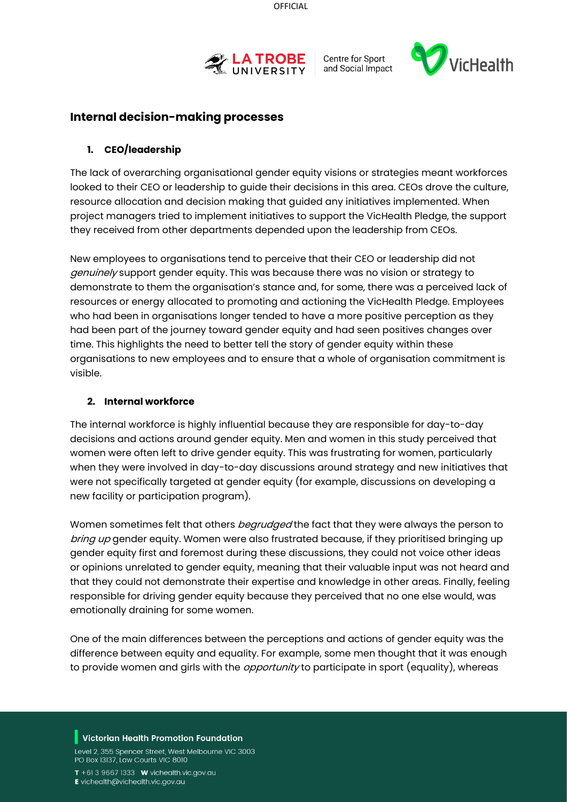



## **Internal decision-making processes**

#### **1. CEO/leadership**

The lack of overarching organisational gender equity visions or strategies meant workforces looked to their CEO or leadership to guide their decisions in this area. CEOs drove the culture, resource allocation and decision making that guided any initiatives implemented. When project managers tried to implement initiatives to support the VicHealth Pledge, the support they received from other departments depended upon the leadership from CEOs.

New employees to organisations tend to perceive that their CEO or leadership did not genuinely support gender equity. This was because there was no vision or strategy to demonstrate to them the organisation's stance and, for some, there was a perceived lack of resources or energy allocated to promoting and actioning the VicHealth Pledge. Employees who had been in organisations longer tended to have a more positive perception as they had been part of the journey toward gender equity and had seen positives changes over time. This highlights the need to better tell the story of gender equity within these organisations to new employees and to ensure that a whole of organisation commitment is visible.

#### **2. Internal workforce**

The internal workforce is highly influential because they are responsible for day-to-day decisions and actions around gender equity. Men and women in this study perceived that women were often left to drive gender equity. This was frustrating for women, particularly when they were involved in day-to-day discussions around strategy and new initiatives that were not specifically targeted at gender equity (for example, discussions on developing a new facility or participation program).

Women sometimes felt that others *begrudged* the fact that they were always the person to bring up gender equity. Women were also frustrated because, if they prioritised bringing up gender equity first and foremost during these discussions, they could not voice other ideas or opinions unrelated to gender equity, meaning that their valuable input was not heard and that they could not demonstrate their expertise and knowledge in other areas. Finally, feeling responsible for driving gender equity because they perceived that no one else would, was emotionally draining for some women.

One of the main differences between the perceptions and actions of gender equity was the difference between equity and equality. For example, some men thought that it was enough to provide women and girls with the *opportunity* to participate in sport (equality), whereas

#### Victorian Health Promotion Foundation

Level 2, 355 Spencer Street, West Melbourne VIC 3003 PO Box 13137, Law Courts VIC 8010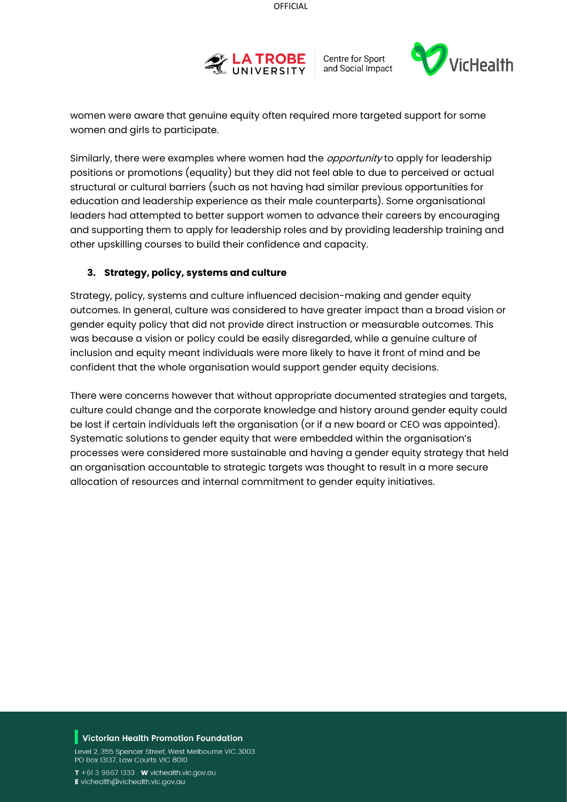



women were aware that genuine equity often required more targeted support for some women and girls to participate.

Similarly, there were examples where women had the *opportunity* to apply for leadership positions or promotions (equality) but they did not feel able to due to perceived or actual structural or cultural barriers (such as not having had similar previous opportunities for education and leadership experience as their male counterparts). Some organisational leaders had attempted to better support women to advance their careers by encouraging and supporting them to apply for leadership roles and by providing leadership training and other upskilling courses to build their confidence and capacity.

#### **3. Strategy, policy, systems and culture**

Strategy, policy, systems and culture influenced decision-making and gender equity outcomes. In general, culture was considered to have greater impact than a broad vision or gender equity policy that did not provide direct instruction or measurable outcomes. This was because a vision or policy could be easily disregarded, while a genuine culture of inclusion and equity meant individuals were more likely to have it front of mind and be confident that the whole organisation would support gender equity decisions.

There were concerns however that without appropriate documented strategies and targets, culture could change and the corporate knowledge and history around gender equity could be lost if certain individuals left the organisation (or if a new board or CEO was appointed). Systematic solutions to gender equity that were embedded within the organisation's processes were considered more sustainable and having a gender equity strategy that held an organisation accountable to strategic targets was thought to result in a more secure allocation of resources and internal commitment to gender equity initiatives.

#### Victorian Health Promotion Foundation

Level 2, 355 Spencer Street, West Melbourne VIC 3003 PO Box 13137, Law Courts VIC 8010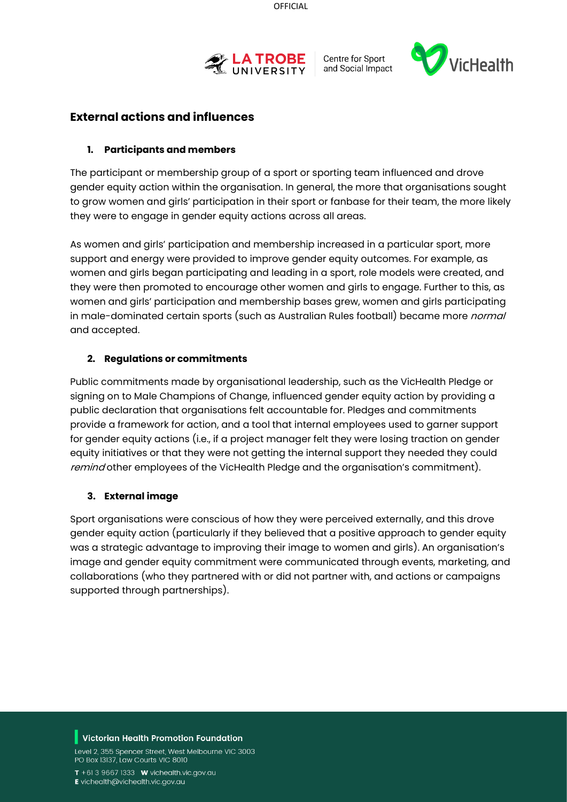



## **External actions and influences**

#### **1. Participants and members**

The participant or membership group of a sport or sporting team influenced and drove gender equity action within the organisation. In general, the more that organisations sought to grow women and girls' participation in their sport or fanbase for their team, the more likely they were to engage in gender equity actions across all areas.

As women and girls' participation and membership increased in a particular sport, more support and energy were provided to improve gender equity outcomes. For example, as women and girls began participating and leading in a sport, role models were created, and they were then promoted to encourage other women and girls to engage. Further to this, as women and girls' participation and membership bases grew, women and girls participating in male-dominated certain sports (such as Australian Rules football) became more normal and accepted.

#### **2. Regulations or commitments**

Public commitments made by organisational leadership, such as the VicHealth Pledge or signing on to Male Champions of Change, influenced gender equity action by providing a public declaration that organisations felt accountable for. Pledges and commitments provide a framework for action, and a tool that internal employees used to garner support for gender equity actions (i.e., if a project manager felt they were losing traction on gender equity initiatives or that they were not getting the internal support they needed they could remind other employees of the VicHealth Pledge and the organisation's commitment).

#### **3. External image**

Sport organisations were conscious of how they were perceived externally, and this drove gender equity action (particularly if they believed that a positive approach to gender equity was a strategic advantage to improving their image to women and girls). An organisation's image and gender equity commitment were communicated through events, marketing, and collaborations (who they partnered with or did not partner with, and actions or campaigns supported through partnerships).

#### Victorian Health Promotion Foundation

Level 2, 355 Spencer Street, West Melbourne VIC 3003 PO Box 13137, Law Courts VIC 8010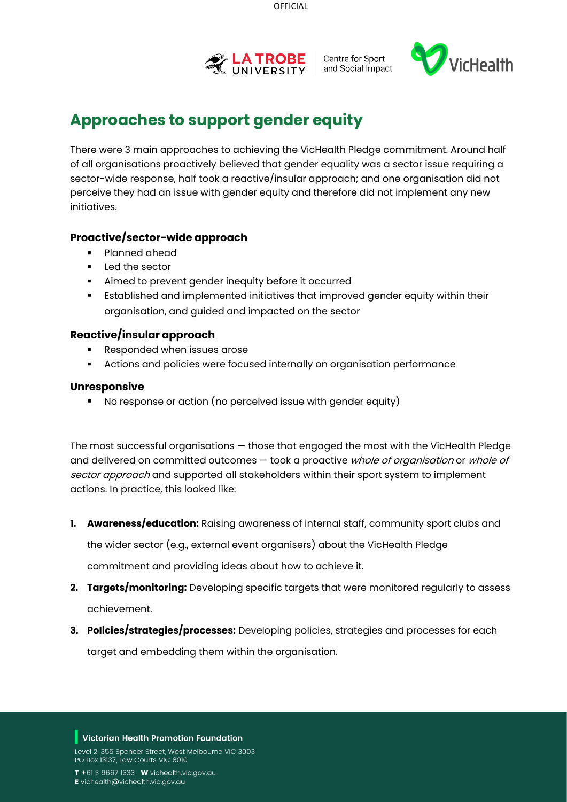



## **Approaches to support gender equity**

There were 3 main approaches to achieving the VicHealth Pledge commitment. Around half of all organisations proactively believed that gender equality was a sector issue requiring a sector-wide response, half took a reactive/insular approach; and one organisation did not perceive they had an issue with gender equity and therefore did not implement any new initiatives.

## **Proactive/sector-wide approach**

- Planned ahead
- Led the sector
- Aimed to prevent gender inequity before it occurred
- Established and implemented initiatives that improved gender equity within their organisation, and guided and impacted on the sector

### **Reactive/insular approach**

- **Responded when issues arose**
- Actions and policies were focused internally on organisation performance

#### **Unresponsive**

No response or action (no perceived issue with gender equity)

The most successful organisations — those that engaged the most with the VicHealth Pledge and delivered on committed outcomes – took a proactive whole of organisation or whole of sector approach and supported all stakeholders within their sport system to implement actions. In practice, this looked like:

**1. Awareness/education:** Raising awareness of internal staff, community sport clubs and

the wider sector (e.g., external event organisers) about the VicHealth Pledge

commitment and providing ideas about how to achieve it.

- **2. Targets/monitoring:** Developing specific targets that were monitored regularly to assess achievement.
- **3. Policies/strategies/processes:** Developing policies, strategies and processes for each target and embedding them within the organisation.

#### Victorian Health Promotion Foundation

Level 2, 355 Spencer Street, West Melbourne VIC 3003 PO Box 13137, Law Courts VIC 8010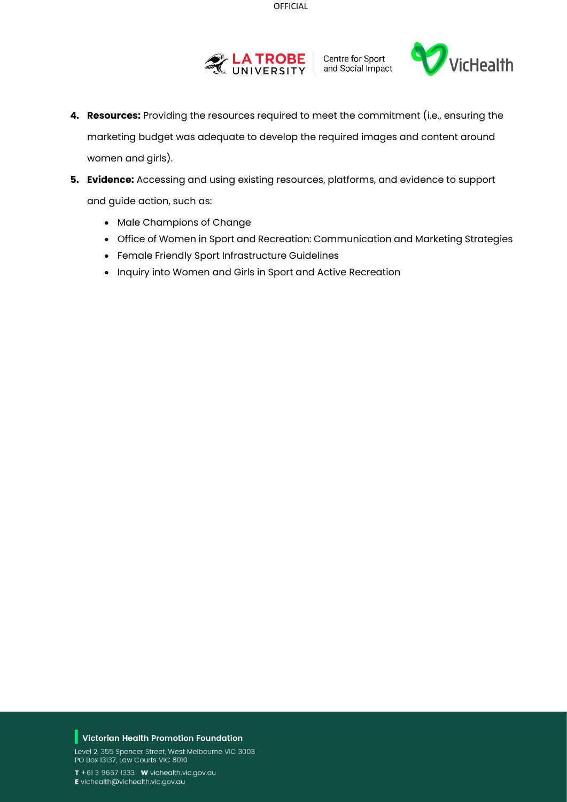



- **4. Resources:** Providing the resources required to meet the commitment (i.e., ensuring the marketing budget was adequate to develop the required images and content around women and girls).
- **5. Evidence:** Accessing and using existing resources, platforms, and evidence to support and guide action, such as:
	- [Male Champions of Change](http://malechampionsofchange.com/wp-content/uploads/2015/08/MCC107_QuickGuide_2015_V10.0-9.pdf)
	- Office of [Women in Sport and Recreation: Communication and Marketing Strategies](http://www.changeourgame.vic.gov.au/sites/default/files/ambassdorfile/Tuesday4369%20DJPR_CSV%20Change%20our%20Game%20Marketing%20and%20Communication%20Guidelines_FA_0.pdf)
	- Female Friendly Sport Infrastructure Guidelines
	- Inquiry into Women and Girls in Sport and Active Recreation

#### $\blacksquare$  Victorian Health Promotion Foundation

Level 2, 355 Spencer Street, West Melbourne VIC 3003 PO Box 13137, Law Courts VIC 8010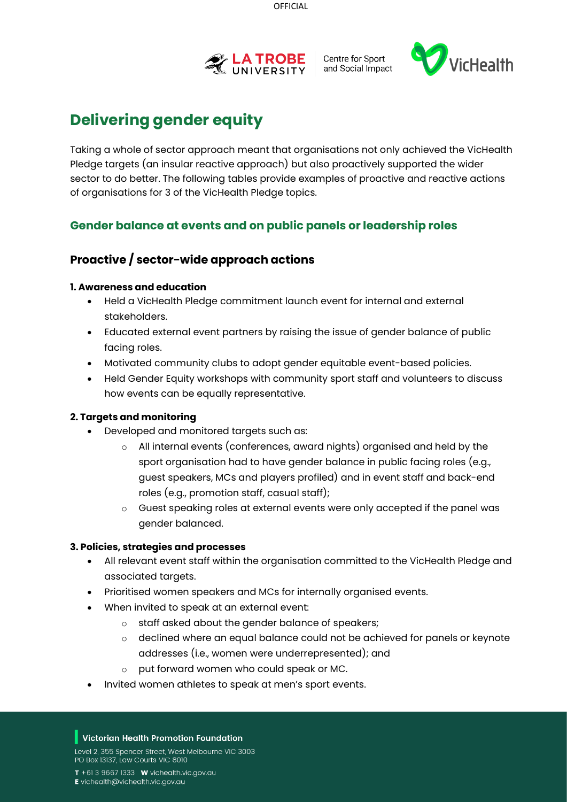



# **Delivering gender equity**

Taking a whole of sector approach meant that organisations not only achieved the VicHealth Pledge targets (an insular reactive approach) but also proactively supported the wider sector to do better. The following tables provide examples of proactive and reactive actions of organisations for 3 of the VicHealth Pledge topics.

## **Gender balance at events and on public panels or leadership roles**

## **Proactive / sector-wide approach actions**

#### **1. Awareness and education**

- Held a VicHealth Pledge commitment launch event for internal and external stakeholders.
- Educated external event partners by raising the issue of gender balance of public facing roles.
- Motivated community clubs to adopt gender equitable event-based policies.
- Held Gender Equity workshops with community sport staff and volunteers to discuss how events can be equally representative.

#### **2. Targets and monitoring**

- Developed and monitored targets such as:
	- o All internal events (conferences, award nights) organised and held by the sport organisation had to have gender balance in public facing roles (e.g., guest speakers, MCs and players profiled) and in event staff and back-end roles (e.g., promotion staff, casual staff);
	- o Guest speaking roles at external events were only accepted if the panel was gender balanced.

#### **3. Policies, strategies and processes**

- All relevant event staff within the organisation committed to the VicHealth Pledge and associated targets.
- Prioritised women speakers and MCs for internally organised events.
- When invited to speak at an external event:
	- o staff asked about the gender balance of speakers;
	- o declined where an equal balance could not be achieved for panels or keynote addresses (i.e., women were underrepresented); and
	- o put forward women who could speak or MC.
- Invited women athletes to speak at men's sport events.

#### Victorian Health Promotion Foundation

Level 2, 355 Spencer Street, West Melbourne VIC 3003 PO Box 13137, Law Courts VIC 8010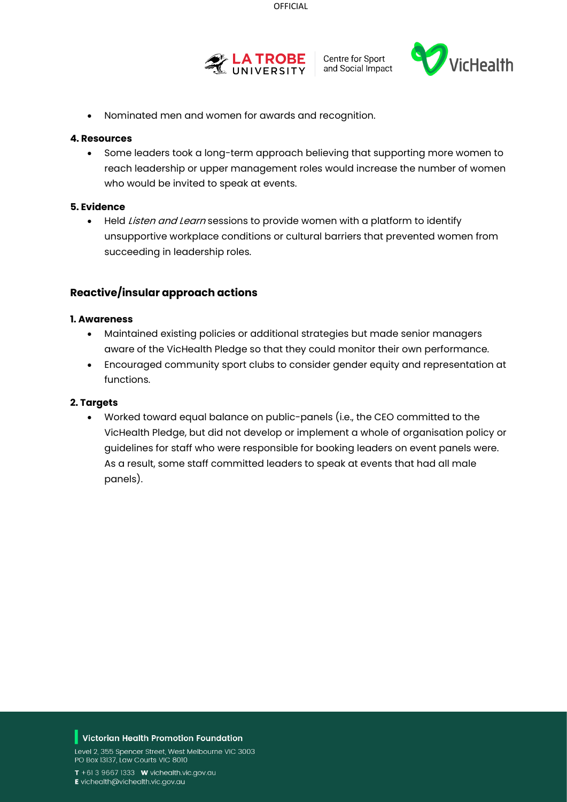



• Nominated men and women for awards and recognition.

#### **4. Resources**

• Some leaders took a long-term approach believing that supporting more women to reach leadership or upper management roles would increase the number of women who would be invited to speak at events.

#### **5. Evidence**

• Held Listen and Learn sessions to provide women with a platform to identify unsupportive workplace conditions or cultural barriers that prevented women from succeeding in leadership roles.

#### **Reactive/insular approach actions**

#### **1. Awareness**

- Maintained existing policies or additional strategies but made senior managers aware of the VicHealth Pledge so that they could monitor their own performance.
- Encouraged community sport clubs to consider gender equity and representation at functions.

#### **2. Targets**

• Worked toward equal balance on public-panels (i.e., the CEO committed to the VicHealth Pledge, but did not develop or implement a whole of organisation policy or guidelines for staff who were responsible for booking leaders on event panels were. As a result, some staff committed leaders to speak at events that had all male panels).

#### Victorian Health Promotion Foundation

Level 2, 355 Spencer Street, West Melbourne VIC 3003 PO Box 13137, Law Courts VIC 8010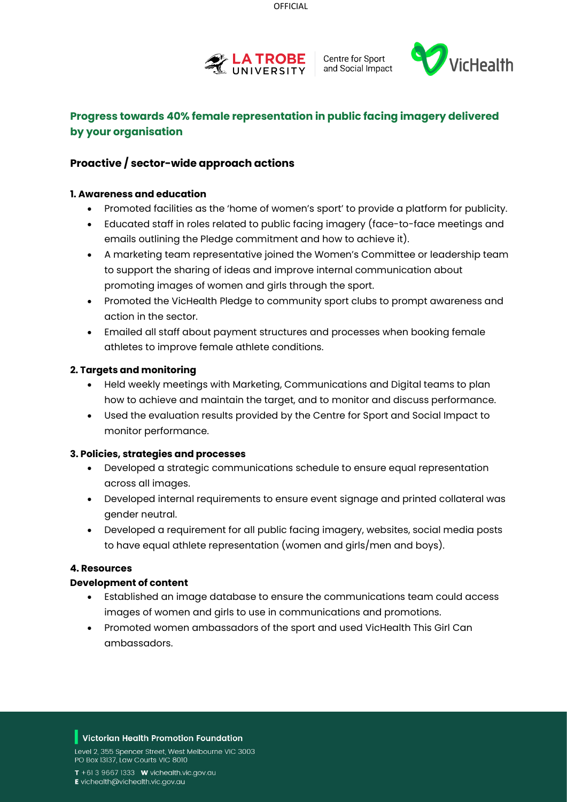



## **Progress towards 40% female representation in public facing imagery delivered by your organisation**

### **Proactive / sector-wide approach actions**

#### **1. Awareness and education**

- Promoted facilities as the 'home of women's sport' to provide a platform for publicity.
- Educated staff in roles related to public facing imagery (face-to-face meetings and emails outlining the Pledge commitment and how to achieve it).
- A marketing team representative joined the Women's Committee or leadership team to support the sharing of ideas and improve internal communication about promoting images of women and girls through the sport.
- Promoted the VicHealth Pledge to community sport clubs to prompt awareness and action in the sector.
- Emailed all staff about payment structures and processes when booking female athletes to improve female athlete conditions.

#### **2. Targets and monitoring**

- Held weekly meetings with Marketing, Communications and Digital teams to plan how to achieve and maintain the target, and to monitor and discuss performance.
- Used the evaluation results provided by the Centre for Sport and Social Impact to monitor performance.

#### **3. Policies, strategies and processes**

- Developed a strategic communications schedule to ensure equal representation across all images.
- Developed internal requirements to ensure event signage and printed collateral was gender neutral.
- Developed a requirement for all public facing imagery, websites, social media posts to have equal athlete representation (women and girls/men and boys).

#### **4. Resources**

#### **Development of content**

- Established an image database to ensure the communications team could access images of women and girls to use in communications and promotions.
- Promoted women ambassadors of the sport and used VicHealth This Girl Can ambassadors.

#### Victorian Health Promotion Foundation

Level 2, 355 Spencer Street, West Melbourne VIC 3003 PO Box 13137, Law Courts VIC 8010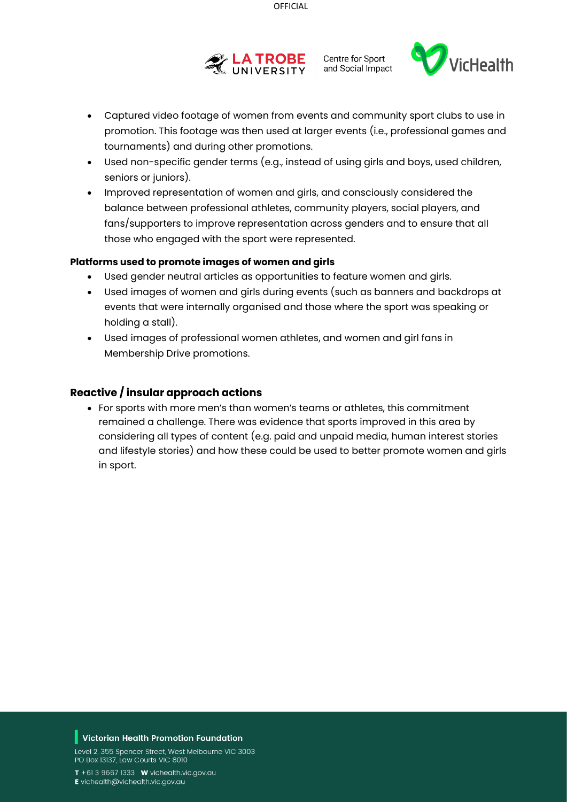



- Captured video footage of women from events and community sport clubs to use in promotion. This footage was then used at larger events (i.e., professional games and tournaments) and during other promotions.
- Used non-specific gender terms (e.g., instead of using girls and boys, used children, seniors or juniors).
- Improved representation of women and girls, and consciously considered the balance between professional athletes, community players, social players, and fans/supporters to improve representation across genders and to ensure that all those who engaged with the sport were represented.

#### **Platforms used to promote images of women and girls**

- Used gender neutral articles as opportunities to feature women and girls.
- Used images of women and girls during events (such as banners and backdrops at events that were internally organised and those where the sport was speaking or holding a stall).
- Used images of professional women athletes, and women and girl fans in Membership Drive promotions.

#### **Reactive / insular approach actions**

• For sports with more men's than women's teams or athletes, this commitment remained a challenge. There was evidence that sports improved in this area by considering all types of content (e.g. paid and unpaid media, human interest stories and lifestyle stories) and how these could be used to better promote women and girls in sport.

#### Victorian Health Promotion Foundation

Level 2, 355 Spencer Street, West Melbourne VIC 3003 PO Box 13137, Law Courts VIC 8010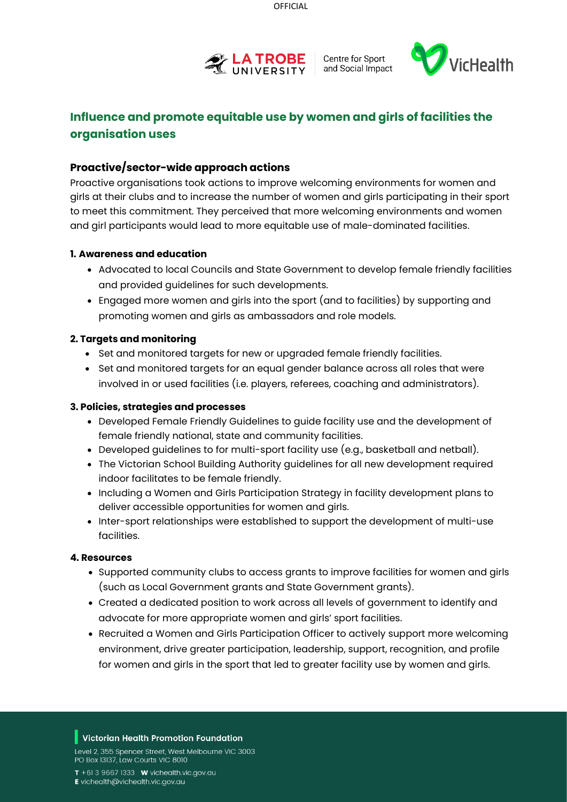



## **Influence and promote equitable use by women and girls of facilities the organisation uses**

### **Proactive/sector-wide approach actions**

Proactive organisations took actions to improve welcoming environments for women and girls at their clubs and to increase the number of women and girls participating in their sport to meet this commitment. They perceived that more welcoming environments and women and girl participants would lead to more equitable use of male-dominated facilities.

#### **1. Awareness and education**

- Advocated to local Councils and State Government to develop female friendly facilities and provided guidelines for such developments.
- Engaged more women and girls into the sport (and to facilities) by supporting and promoting women and girls as ambassadors and role models.

#### **2. Targets and monitoring**

- Set and monitored targets for new or upgraded female friendly facilities.
- Set and monitored targets for an equal gender balance across all roles that were involved in or used facilities (i.e. players, referees, coaching and administrators).

#### **3. Policies, strategies and processes**

- Developed Female Friendly Guidelines to guide facility use and the development of female friendly national, state and community facilities.
- Developed guidelines to for multi-sport facility use (e.g., basketball and netball).
- The Victorian School Building Authority guidelines for all new development required indoor facilitates to be female friendly.
- Including a Women and Girls Participation Strategy in facility development plans to deliver accessible opportunities for women and girls.
- Inter-sport relationships were established to support the development of multi-use facilities.

#### **4. Resources**

- Supported community clubs to access grants to improve facilities for women and girls (such as Local Government grants and State Government grants).
- Created a dedicated position to work across all levels of government to identify and advocate for more appropriate women and girls' sport facilities.
- Recruited a Women and Girls Participation Officer to actively support more welcoming environment, drive greater participation, leadership, support, recognition, and profile for women and girls in the sport that led to greater facility use by women and girls.

#### Victorian Health Promotion Foundation

Level 2, 355 Spencer Street, West Melbourne VIC 3003 PO Box 13137, Law Courts VIC 8010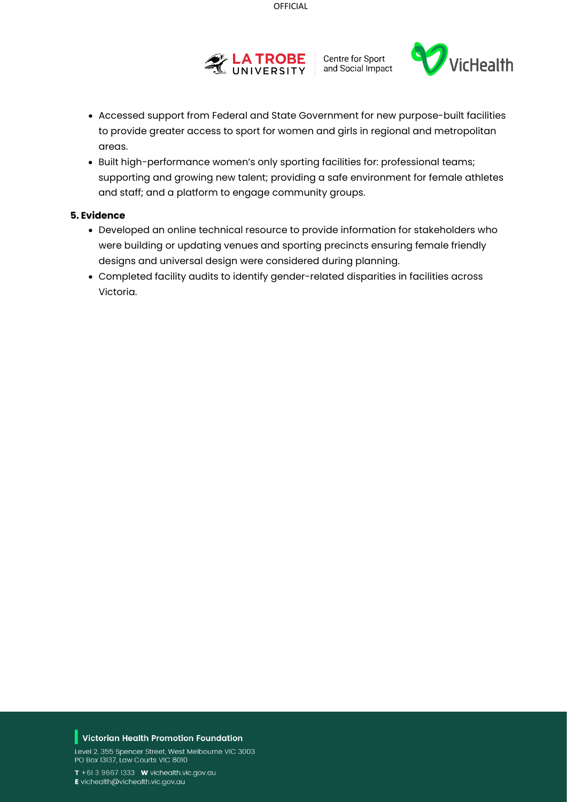



- Accessed support from Federal and State Government for new purpose-built facilities to provide greater access to sport for women and girls in regional and metropolitan areas.
- Built high-performance women's only sporting facilities for: professional teams; supporting and growing new talent; providing a safe environment for female athletes and staff; and a platform to engage community groups.

#### **5. Evidence**

- Developed an online technical resource to provide information for stakeholders who were building or updating venues and sporting precincts ensuring female friendly designs and universal design were considered during planning.
- Completed facility audits to identify gender-related disparities in facilities across Victoria.

#### $\blacksquare$  Victorian Health Promotion Foundation

Level 2, 355 Spencer Street, West Melbourne VIC 3003 PO Box 13137, Law Courts VIC 8010